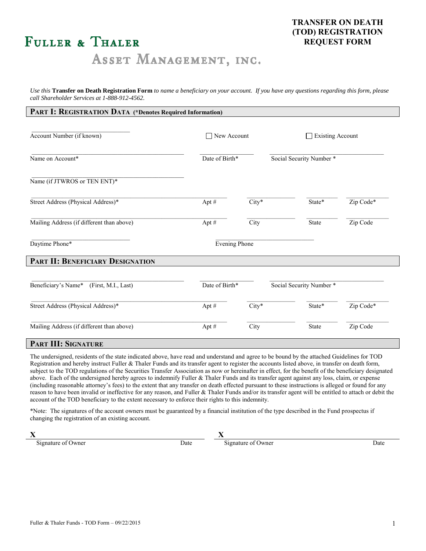# **FULLER & THALER**

# ASSET MANAGEMENT, INC.

*Use this* **Transfer on Death Registration Form** *to name a beneficiary on your account. If you have any questions regarding this form, please call Shareholder Services at 1-888-912-4562.*

| Account Number (if known)                  |                |                      |                          |                          |  |
|--------------------------------------------|----------------|----------------------|--------------------------|--------------------------|--|
|                                            | New Account    |                      | $\Box$ Existing Account  |                          |  |
| Name on Account*                           | Date of Birth* |                      | Social Security Number * |                          |  |
| Name (if JTWROS or TEN ENT)*               |                |                      |                          |                          |  |
| Street Address (Physical Address)*         | Apt #          | $City*$              | State*                   | Zip Code*                |  |
| Mailing Address (if different than above)  | Apt #          | City                 | State                    | Zip Code                 |  |
| Daytime Phone*                             |                | <b>Evening Phone</b> |                          |                          |  |
| PART II: BENEFICIARY DESIGNATION           |                |                      |                          |                          |  |
| Beneficiary's Name*<br>(First, M.I., Last) |                | Date of Birth*       |                          | Social Security Number * |  |
| Street Address (Physical Address)*         | Apt $#$        | $City*$              | State*                   | Zip Code*                |  |
| Mailing Address (if different than above)  | Apt #          | City                 | State                    | Zip Code                 |  |

The undersigned, residents of the state indicated above, have read and understand and agree to be bound by the attached Guidelines for TOD Registration and hereby instruct Fuller & Thaler Funds and its transfer agent to register the accounts listed above, in transfer on death form, subject to the TOD regulations of the Securities Transfer Association as now or hereinafter in effect, for the benefit of the beneficiary designated above. Each of the undersigned hereby agrees to indemnify Fuller & Thaler Funds and its transfer agent against any loss, claim, or expense (including reasonable attorney's fees) to the extent that any transfer on death effected pursuant to these instructions is alleged or found for any reason to have been invalid or ineffective for any reason, and Fuller & Thaler Funds and/or its transfer agent will be entitled to attach or debit the account of the TOD beneficiary to the extent necessary to enforce their rights to this indemnity.

\*Note: The signatures of the account owners must be guaranteed by a financial institution of the type described in the Fund prospectus if changing the registration of an existing account.

**X X**

**1.** Signature of Owner Date Date Date Signature of Owner Date